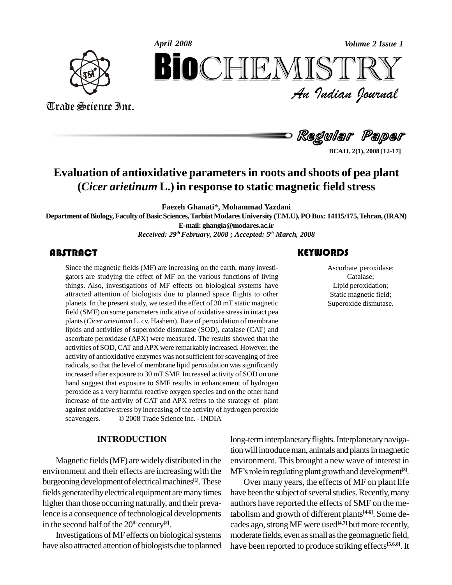

Trade Science Inc. Trade Science Inc.



**BCAIJ, 2(1), 2008 [12-17]**

## **Evaluation of antioxidative parametersin roots and shoots of pea plant (***Cicer arietinum* **L.) in response to static magnetic field stress**

**Faezeh Ghanati\*, Mohammad Yazdani**

**Department ofBiology,Faculty ofBasicSciences,TarbiatModaresUniversity (T.M.U),POBox: 14115/175,Tehran,(IRAN)**

**E-mail: [ghangia@modares.ac.ir](mailto:ghangia@modares.ac.ir)**

*Received: 29 thFebruary, 2008 ; Accepted: 5 th March, 2008*

### **ABSTRACT**

Since the magnetic field<br>gators are studying the<br>things. Also, investigati Since the magnetic fields (MF) are increasing on the earth, many investi gators are studying the effect of MF on the various functions of living things. Also, investigations of MF effects on biological systems have attracted attention of biologists due to planned space flights to other planets. In the present study, we tested the effect of 30 mT static magnetic field (SMF) on some parameters indicative of oxidative stress in intact pea plants(*Cicer arietinum* L. cv. Hashem). Rate of peroxidation of membrane lipids and activities of superoxide dismutase (SOD), catalase (CAT) and ascorbate peroxidase (APX) were measured. The results showed that the activities of SOD, CAT and APX were remarkably increased. However, the activity of antioxidative enzymes was notsufficient for scavenging of free radicals, so that the level of membrane lipid peroxidation was significantly increased after exposure to 30 mT SMF. Increased activity of SOD on one hand suggest that exposure to SMF results in enhancement of hydrogen peroxide as a very harmful reactive oxygen species and on the other hand increase of the activity of CAT and APX refers to the strategy of plant against oxidative stress by increasing of the activity of hydrogen peroxide increase of the activity of CAT and APX refers to the strategy of against oxidative stress by increasing of the activity of hydrogen per scavengers.  $\circ$  2008 Trade Science Inc. - INDIA

#### **INTRODUCTION**

Magnetic fields(MF) are widely distributed in the environment and their effects are increasing with the burgeoning development of electrical machines<sup>[1]</sup>. These  $\qquad$  O fields generated by electrical equipment are many times higher than those occurring naturally, and their prevalence is a consequence of technological developments in the second half of the 20<sup>th</sup> century<sup>[2]</sup>.

Investigations of MF effects on biological systems have also attracted attention of biologists due to planned

### **KEYWORDS**

Ascorbate peroxic<br>Catalase;<br>Lipid peroxidation Ascorbate peroxidase; Catalase; Lipid peroxidation; Static magnetic field; Superoxide dismutase.

long-term interplanetary flights. Interplanetary navigation will introduce man, animals and plants in magnetic environment. This brought a new wave of interest in tion will introduce man, animals and plants in magnetic<br>environment. This brought a new wave of interest in<br>MF's role in regulating plant growth and development<sup>[3]</sup>.

Over many years, the effects of MF on plant life have been the subject of several studies. Recently, many authors have reported the effects of SMF on the metabolism and growth of different plants **[4-6]**. Some de cades ago, strong MF were used<sup>[4,7]</sup> but more recently, moderate fields, even as small as the geomagnetic field, have been reported to produce striking effects **[5,6,8]**. It

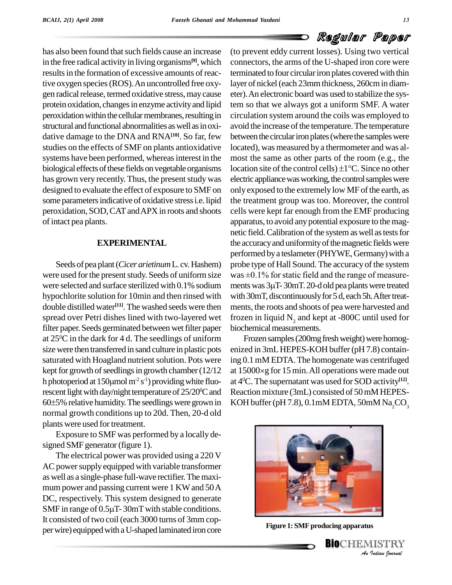has also been found that such fields cause an increase in the free radical activity in living organisms<sup>[9]</sup>, which connectionresults in the formation of excessive amounts of reactive oxygen species (ROS). An uncontrolled free oxygen radical release, termed oxidative stress, may cause protein oxidation, changes in enzyme activity and lipid peroxidation within the cellular membranes, resulting in structural and functional abnormalities as well as in oxidative damage to the DNA and RNA**[10]**. So far, few studies on the effects of SMF on plants antioxidative systems have been performed, whereas interest in the biological effects of these fields on vegetable organisms location site of the control cells)  $\pm 1^{\circ}$ C. Since no other has grown very recently. Thus, the present study was designed to evaluate the effect of exposure to SMF on some parameters indicative of oxidative stress i.e. lipid peroxidation, SOD,CATandAPX in roots and shoots of intact pea plants.

#### **EXPERIMENTAL**

Seeds of pea plant (*Cicer arietinum* L. cv. Hashem) were used for the present study. Seeds of uniform size was  $\pm 0.1\%$  for static field and the range of measurewere selected and surface sterilized with 0.1% sodium ments was  $3\mu$ T-30mT. 20-d old pea plants were treated hypochlorite solution for 10min and then rinsed with double distilled water **[11]**. The washed seeds were then spread over Petri dishes lined with two-layered wet filter paper. Seeds germinated between wet filter paper at 25 <sup>0</sup>C in the dark for 4 d. The seedlings of uniform size were then transferred in sand culture in plastic pots saturated with Hoagland nutrient solution. Pots were ing 0.<br>kept for growth of seedlings in growth chamber (12/12 at 150<br>h photoperiod at 150µmol m<sup>2</sup> s<sup>-1</sup>) providing white fluo-at 4<sup>0</sup>C kept for growth of seedlings in growth chamber  $(12/12)$ h photoperiod at 150 $\mu$ mol m<sup>-2</sup> s<sup>-1</sup>) providing white fluo-<br>rescent light with day/night temperature of 25/20<sup>o</sup>C and Reactio<br>60±5% relative humidity. The seedlings were grown in KOH b rescent light with day/night temperature of  $25/20^{\circ}$ C and normal growth conditions up to 20d. Then, 20-d old plants were used for treatment.

Exposure to SMF was performed by a locally de signed SMF generator (figure 1).

The electrical power was provided using a 220 V AC power supply equipped with variable transformer as well as a single-phase full-wave rectifier.Themaxi mum power and passing current were 1 KW and 50 A<br>DC, respectively. This system designed to generate<br>SMF in range of 0.5µT-30mT with stable conditions. DC, respectively. This system designed to generate It consisted of two coil (each 3000 turns of 3mm copper wire) equipped with a U-shaped laminated iron core

(to prevent eddy current losses). Using two vertical connectors, the arms of the U-shaped iron core were terminated to four circular iron plates covered with thin layer of nickel(each 23mmthickness, 260cmin diam eter).An electronic board was used to stabilize the system so that we always got a uniform SMF. A water circulation system around the coils was employed to avoid the increase of the temperature. The temperature between the circular iron plates (where the samples were located), was measured by a thermometer and was al most the same as other parts of the room (e.g., the located), was measured by a thermometer and was almost the same as other parts of the room (e.g., the location site of the control cells)  $\pm 1^{\circ}$ C. Since no other electric appliance was working, the control samples were only exposed to the extremely low MF of the earth, as the treatment group was too. Moreover, the control cells were kept far enough from the EMF producing apparatus, to avoid any potential exposure to the magnetic field. Calibration of the system as well as tests for the accuracy and uniformity of the magnetic fields were performed by a teslameter (PHYWE, Germany) with a<br>probe type of Hall Sound. The accuracy of the system<br>was ±0.1% for static field and the range of measureprobe type of Hall Sound. The accuracy of the system<br>was  $\pm 0.1\%$  for static field and the range of measure-<br>ments was 3µT- 30mT. 20-d old pea plants were treated with 30mT, discontinuously for 5 d, each 5h. After treatments, the roots and shoots of pea were harvested and frozen in liquid  $N_2$  and kept at -800C until used for biochemical measurements.

 $\rm{^{0}C}$  and Reaction mixture (3mL) consisted of 50 mM HEPES-Frozen samples (200mg fresh weight) were homogenized in 3mL HEPES-KOH buffer (pH 7.8) containing 0.1mM EDTA.The homogenate was centrifuged at  $15000 \times g$  for 15 min. All operations were made out at 4 <sup>0</sup>C. The supernatant was used for SOD activity **[12]**. KOH buffer (pH 7.8),  $0.1$ mM EDTA,  $50$ mM Na<sub>2</sub>CO<sub>3</sub>



**Figure 1: SMF** producing apparatus



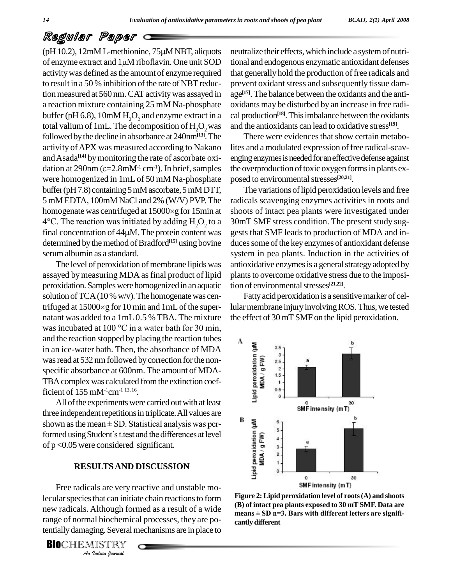# Regular Paper Regular Paper<br>(pH 10.2), 12mM L-methionine, 75µM NBT, aliquots neutr

 $\kappa$ eggwrair ralper<br>
(pH 10.2), 12mM L-methionine, 75 $\mu$ M NBT, aliquots neutralize th<br>
of enzyme extract and 1 $\mu$ M riboflavin. One unit SOD tional and e activitywas defined asthe amount of enzyme required to result in a 50 % inhibition of the rate of NBT reduction measured at 560 nm. CAT activity was assayed in a reaction mixture containing 25 mM Na-phosphate buffer ( $pH$  6.8), 10mM  $H<sub>2</sub>O<sub>2</sub>$  and enzyme extract in a total valium of 1mL. The decomposition of  $H_2O_2$  was followed bythe decline in absorbance at 240nm**[13]**.The activity ofAPX was measured according to Nakano and Asada<sup>[14]</sup> by monitoring the rate of ascorbate oxi- engi activity of APX was measured according to Nakano lites<br>and Asada<sup>[14]</sup> by monitoring the rate of ascorbate oxi-<br>dation at 290nm ( $\varepsilon$ =2.8mM<sup>-1</sup> cm<sup>-1</sup>). In brief, samples the o were homogenized in 1mL of 50 mM Na-phosphate buffer (pH 7.8) containing 5 mM ascorbate, 5 mM DTT, 5 mM EDTA, 100mM NaCl and 2% (W/V) PVP.The homogenate was centrifuged at  $15000 \times g$  for  $15$ min at 5 mM EDTA, 100mM NaCl and 2% (W/V) PVP. The<br>homogenate was centrifuged at  $15000 \times g$  for 15min at<br>4°C. The reaction was initiated by adding  $H_2O_2$  to a homogenate was centrifuged at 15000×g for 15min at shoot 4°C. The reaction was initiated by adding  $H_2O_2$  to a 30m final concentration of 44 $\mu$ M. The protein content was gests determined by the method of Bradford<sup>[15]</sup> using bovine duces serumalbumin as a standard.

The level of peroxidation of membrane lipids was assayed by measuring MDA as final product of lipid peroxidation.Sampleswerehomogenizedin an aquatic solution of TCA (10 % w/v). The homogenate was cenperoxidation. Samples were homogenized in an aquatic tion<br>solution of TCA (10 % w/v). The homogenate was cen-<br>trifuged at 15000×g for 10 min and 1mL of the super- lula natant was added to a 1mL 0.5 % TBA. The mixture trifuged at 15000×g for 10 min and 1mL of the supernatant was added to a 1mL 0.5 % TBA. The mixture was incubated at 100 °C in a water bath for 30 min, and the reaction stopped by placing the reaction tubes in an ice-water bath. Then, the absorbance of MDA<br>was read at 532 nm followed by correction for the non-<br>specific absorbance at 600nm. The amount of MDA-<br>TBA complex was calculated from the extinction coef-<br>ficient of 155 was read at 532 nm followed by correction for the nonspecific absorbance at 600nm. The amount of MDA- TBA complex was calculated from the extinction coefficient of  $155 \text{ mM}^{-1} \text{cm}^{-1}$   $^{13, 16}$ . .

All of the experiments were carried out with at least three independent repetitions in triplicate. All values are All of the experiments were carried out with at least<br>three independent repetitions in triplicate. All values are<br>shown as the mean  $\pm$  SD. Statistical analysis was pershown as the mean  $\pm$  SD. Statistical analysis was performed using Student's t.test and the differences at level of p <0.05 were considered significant.

#### **RESULTSAND DISCUSSION**

Free radicals are very reactive and unstable mo-*Indian*<br>*Indian*<br>*Indian*<br>*Indian*<br>*Indian bournal* lecular species that can initiate chain reactions to form Figure 2: Li new radicals. Although formed as a result of a wide<br>means  $\pm$  SD n=3. Bars with different letters are signifirange of normal biochemical processes, they are potentially damaging. Several mechanisms are in place to

**BIO**CHEMISTRY

neutralize their effects, which include a system of nutritional and endogenous enzymatic antioxidant defenses that generally hold the production of free radicals and prevent oxidant stress and subsequently tissue damage **[17]**. The balance between the oxidants and the anti oxidants may be disturbed by an increase in free radi cal production<sup>[18]</sup>. This imbalance between the oxidants and the antioxidants can lead to oxidative stress **[19]**.

There were evidences that show certain metabolites and a modulated expression of free radical-scavenging enzymes is needed for an effective defense against the overproduction of toxic oxygen forms in plants exposed to environmental stresses<sup>[20,21]</sup>.

to a 30mT SMF stress condition. The present study sug-The variations of lipid peroxidation levels and free radicals scavenging enzymes activities in roots and shoots of intact pea plants were investigated under gests that SMF leads to production of MDA and in duces some of the key enzymes of antioxidant defense system in pea plants. Induction in the activities of antioxidative enzymes is a general strategy adopted by plants to overcome oxidative stress due to the imposition of environmental stresses<sup>[21,22]</sup>.

Fatty acid peroxidation is a sensitive marker of cellular membrane injury involving ROS. Thus, we tested the effect of 30 mT SMF on the lipid peroxidation.



Figure 2: Lipid peroxidation level of roots (A) and shoots<br>(B) of intact pea plants exposed to 30 mT SMF. Data are<br>means ± SD n=3. Bars with different letters are signifi-**(B) of intact pea plants exposed to 30 mT SMF. Data are cantly different**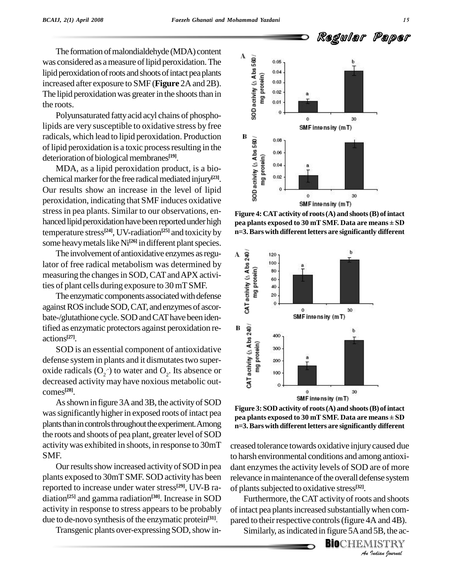Regular Paper

The formation of malondialdehyde (MDA) content was considered as a measure of lipid peroxidation. The<br>lipid peroxidation of roots and shoots of intact pea plants<br>increased after exposure to SMF (**Figure** 2A and 2B).<br>The lipid peroxidation was greater in the shoots tha lipid peroxidation of roots and shoots of intact pea plants increased after exposure to SMF (**Figure** 2A and 2B).<br>The lipid peroxidation was greater in the shoots than in the roots.

Polyunsaturated fatty acid acyl chains of phospholipids are very susceptible to oxidative stress by free of lipid peroxidation is a toxic process resulting in the deterioration of biological membranes<sup>[19]</sup>.

radicals, which lead to lipid peroxidation. Production<br>
of lipid peroxidation is a toxic process resulting in the<br>
deterioration of biological membranes<sup>[19]</sup>.<br>
MDA, as a lipid peroxidation product, is a bio-<br>
chemical ma MDA, as a lipid peroxidation product, is a bio chemical marker for the free radical mediated injury<sup>[23]</sup>. Our results show an increase in the level of lipid peroxidation, indicating thatSMF induces oxidative stressin pea plants. Similar to our observations, en hanced lipid peroxidation have been reported under high temperature stress **[24]**, UV-radiation **[25]** and toxicity by some heavy metals like Ni<sup>[26]</sup> in different plant species.

The involvement of antioxidative enzymes as regu-The involvement of antioxidative enzymes as regu-<br>
lator of free radical metabolism was determined by<br>
measuring the changes in SOD, CAT and APX activi-<br>
ties of plant cells during exposure to 30 mT SMF.<br>
The enzymatic com measuring the changes in SOD, CAT and APX activities of plant cells during exposure to 30 mTSMF.

The enzymatic components associated with defense against ROS include SOD, CAT, and enzymes of ascorbate-/glutathione cycle. SOD and CAT have been identified as enzymatic protectors against peroxidation re- $\qquad \qquad$  **B [27]**.

d as enzymatic protectors against peroxidation re-<br>ons<sup>[27]</sup>.<br>SOD is an essential component of antioxidative<br>ense system in plants and it dismutates two super-<br>de radicals (O<sub>2</sub>·) to water and O<sub>2</sub>. Its absence or<br>reased defense system in plants and it dismutates two superoxide radicals  $(O_2^-)$  to water and  $O_2$ . Its absence or decreased activity may have noxious metabolic out comes **[28]**.

As shown in figure 3A and 3B, the activity of SOD was significantly higher in exposed roots of intact pea plants than in controls throughout the experiment. Among the roots and shoots of pea plant, greater level of SOD activitywas exhibited in shoots, in response to 30mT SMF.

Our results show increased activity of SOD in pea plants exposed to 30mTSMF. SOD activity has been reported to increase under water stress **[29]**, UV-B ra diation **[25]** and gamma radiation **[30]**. Increase in SOD activity in response to stress appears to be probably due to de-novo synthesis of the enzymatic protein<sup>[31]</sup>. par

Transgenic plants over-expressing SOD, show in-<br>Similarly, as indicated in figure 5A and 5B, the ac-



**Figure 4: CATactivity of roots(A) and shoots(B) ofintact pea pea p**<br>**pea plants exposed to 30 mT SMF.** Data are means  $\pm$  **SD n=3.Bars with different letters are significantly different**



**Figure 3:SOD activity of roots(A) and shoots(B) ofintact p**<br>**p**Eigure 3: SOD activity of roots (A) and shoots (B) of intact<br>pea plants exposed to 30 mT SMF. Data are means  $\pm$  SD **n=3.Bars with different letters are significantly different**

of plants subjected to oxidative stress<sup>[32]</sup>. creased tolerance towards oxidative injurycaused due to harsh environmental conditions and among antioxi dant enzymes the activity levels of SOD are of more relevance in maintenance of the overall defense system

*I* sand shoots<br> *I* small and 4B).<br> *I* 5B, the accural<br> *I* ISTRY Furthermore, the CAT activity of roots and shoots of intact pea plants increased substantially when compared to their respective controls (figure 4A and 4B).

**BIO**CHEMISTRY<br>An Indian Journal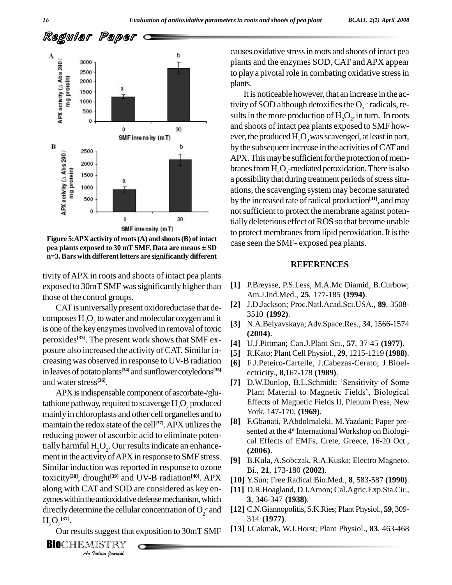

**Figure 5:APX activity of roots(A) and shoots(B) ofintact pea plants exponds SMF** intensity (mT) to prote<br> **pea** plants exposed to 30 mT SMF. Data are means  $\pm$  SD case sec **n=3.Bars with different letters are significantly different**

tivity ofAPX in roots and shoots of intact pea plants exposed to 30mT SMF was significantly higher than those of the control groups.

CAT is universally present oxidoreductase that decomposes  $H_2O_2$  to water and molecular oxygen and it is one of the key enzymes involved in removal of toxic peroxides<sup>[33]</sup>. The present work shows that SMF exposure also increased the activity of CAT. Similar increasing was observed in response to UV-Bradiation in leaves of potato plants<sup>[34]</sup> and sunflower cotyledons<sup>[35]</sup> and water stress<sup>[36]</sup>.

along with CAT and SOD are considered as key en- [11] *In and SOD*<br> *Some exercitive*<br> *Indian boundal* APX is indispensable component of ascorbate-/glutathione pathway, required to scavenge  $H<sub>2</sub>O<sub>2</sub>$  produced mainlyin chloroplasts and other cell organelles and to maintain the redox state of the cell<sup>[37]</sup>. APX utilizes the  $[8]$ <sup>r</sup> reducing power of ascorbic acid to eliminate potentially harmful  $H_2O_2$ . Our results indicate an enhancement in the activityofAPX in response to SMF stress. Similar induction was reported in response to ozone toxicity<sup>[38]</sup>, drought<sup>[39]</sup> and UV-B radiation<sup>[40]</sup>. APX [10] Y.Sun: zymes within the antioxidative defense mechanism, which directly determine the cellular concentration of  $O_2^-$  and  $H_{2}O_{2}^{[37]}.$ 

Our results suggest that exposition to 30mT SMF

causes oxidative stressin roots and shoots ofintact pea plants and the enzymes SOD, CAT andAPX appear to play a pivotal role in combating oxidative stress in plants.

It is noticeable however, that an increase in the activity of SOD although detoxifies the  $O_2$  radicals, results in the more production of  $H_2O_2$ , in turn. In roots and shoots of intact pea plants exposed to SMF however, the produced  $H_2O_2$  was scavenged, at least in part, by the subsequent increase in the activities of CAT and APX. This may be sufficient for the protection of membranes from H<sub>2</sub>O<sub>2</sub>-mediated peroxidation. There is also a possibility that during treatment periods of stress situations, the scavenging system may become saturated by the increased rate ofradical production **[41]**, and may not sufficient to protect the membrane against potentially deleterious effect of ROS so that become unable to protect membranes from lipid peroxidation. It is the case seen the SMF- exposed pea plants.

#### **REFERENCES**

- **[1]** P.Breysse, P.S.Less, M.A.Mc Diamid, B.Curbow; Am.J.Ind.Med., **25**, 177-185 **(1994)**.
- **[2]** J.D.Jackson; Proc.Natl.Acad.Sci.USA., **89**, 3508- 3510 **(1992)**.
- **[3]** N.A.Belyavskaya;Adv.Space.Res., **34**, 1566-1574 **(2004)**.
- **[4]** U.J.Pittman; Can.J.Plant Sci., **57**, 37-45 **(1977)**.
- **[5]** R.Kato; Plant Cell Physiol., **29**, 1215-1219 **(1988)**.
- **[6]** F.J.Peteiro-Cartelle, J.Cabezas-Cerato; J.Bioel ectricity., **8**,167-178 **(1989)**. [6] F.J.Peteiro-Cartelle, J.Cabezas-Cerato; J.Bioel-<br>ectricity., **8**,167-178 (1989).<br>[7] D.W.Dunlop, B.L.Schmidt; 'Sensitivity of Some
- ectricity., 8,167-178 (**1989**).<br>D.W.Dunlop, B.L.Schmidt; 'Sensitivity of Some<br>Plant Material to Magnetic Fields', Biological Effects of Magnetic Fields II, Plenum Press, New York, 147-170, **(1969)**.
- **[8]** F.Ghanati, P.Abdolmaleki, M.Yazdani; Paper pre sented at the 4<sup>th</sup> International Workshop on Biological Effects of EMFs, Crete, Greece, 16-20 Oct., **(2006)**.
- **[9]** B.Kula, A.Sobczak, R.A.Kuska; Electro Magneto. Bi., **21**, 173-180 **(2002)**.
- **[10]** Y.Sun; Free Radical Bio.Med., **8**, 583-587 **(1990)**.
- **[11]** D.R.Hoagland, D.I.Arnon; Cal.Agric.Exp.Sta.Cir., **3**, 346-347 **(1938)**.
- .- and **[12]** C.N.Giannopolitis, S.K.Ries; Plant Physiol., **59**, 309- 314 **(1977)**.
	- **[13]** I.Cakmak, W.J.Horst; Plant Physiol., **83**, 463-468

**BIO**CHEMISTRY